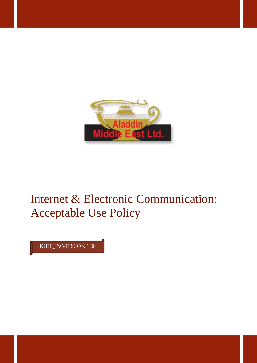

# Internet & Electronic Communication: Acceptable Use Policy

IGDP\_P9 VERSION 1.00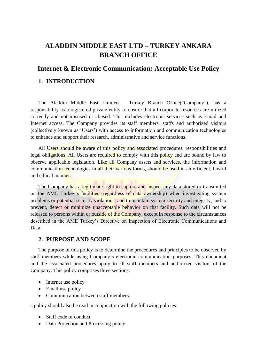# **ALADDIN MIDDLE EAST LTD – TURKEY ANKARA BRANCH OFFICE**

# **Internet & Electronic Communication: Acceptable Use Policy**

# **1. INTRODUCTION**

The Aladdin Middle East Limited – Turkey Branch Office("Company"), has a responsibility as a registered private entity to ensure that all corporate resources are utilized correctly and not misused or abused. This includes electronic services such as Email and Internet access. The Company provides its staff members, staffs and authorized visitors (collectively known as 'Users') with access to information and communication technologies to enhance and support their research, administrative and service functions.

All Users should be aware of this policy and associated procedures, responsibilities and legal obligations. All Users are required to comply with this policy and are bound by law to observe applicable legislation. Like all Company assets and services, the information and communication technologies in all their various forms, should be used in an efficient, lawful and ethical manner.

The Company has a legitimate right to capture and inspect any data stored or transmitted on the AME Turkey's facilities (regardless of data ownership) when investigating system problems or potential security violations; and to maintain system security and integrity; and to prevent, detect or minimize unacceptable behavior on that facility. Such data will not be released to persons within or outside of the Company, except in response to the circumstances described in the AME Turkey's Directive on Inspection of Electronic Communications and Data.

# **2. PURPOSE AND SCOPE**

The purpose of this policy is to determine the procedures and principles to be observed by staff members while using Company's electronic communication purposes. This document and the associated procedures apply to all staff members and authorized visitors of the Company. This policy comprises three sections:

- Internet use policy
- Email use policy
- Communication between staff members.

s policy should also be read in conjunction with the following policies:

- Staff code of conduct
- Data Protection and Processing policy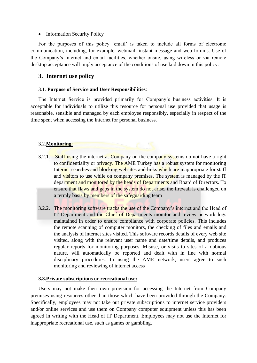#### • Information Security Policy

For the purposes of this policy 'email' is taken to include all forms of electronic communication, including, for example, webmail, instant message and web forums. Use of the Company's internet and email facilities, whether onsite, using wireless or via remote desktop acceptance will imply acceptance of the conditions of use laid down in this policy.

# **3. Internet use policy**

# 3.1. **Purpose of Service and User Responsibilities**:

The Internet Service is provided primarily for Company's business activities. It is acceptable for individuals to utilize this resource for personal use provided that usage is reasonable, sensible and managed by each employee responsibly, especially in respect of the time spent when accessing the Internet for personal business.

# 3.2.**Monitoring**:

- 3.2.1. Staff using the internet at Company on the company systems do not have a right to confidentiality or privacy. The AME Turkey has a robust system for monitoring Internet searches and blocking websites and links which are inappropriate for staff and visitors to use while on company premises. The system is managed by the IT department and monitored by the heads of Departments and Board of Directors. To ensure that flaws and gaps in the system do not arise, the firewall is challenged on a termly basis by members of the safeguarding team
- 3.2.2. The monitoring software tracks the use of the Company's internet and the Head of IT Department and the Chief of Departments monitor and review network logs maintained in order to ensure compliance with corporate policies. This includes the remote scanning of computer monitors, the checking of files and emails and the analysis of internet sites visited. This software records details of every web site visited, along with the relevant user name and date/time details, and produces regular reports for monitoring purposes. Misuse, or visits to sites of a dubious nature, will automatically be reported and dealt with in line with normal disciplinary procedures. In using the AME network, users agree to such monitoring and reviewing of internet access

#### **3.3.Private subscriptions or recreational use:**

Users may not make their own provision for accessing the Internet from Company premises using resources other than those which have been provided through the Company. Specifically, employees may not take out private subscriptions to internet service providers and/or online services and use them on Company computer equipment unless this has been agreed in writing with the Head of IT Department. Employees may not use the Internet for inappropriate recreational use, such as games or gambling.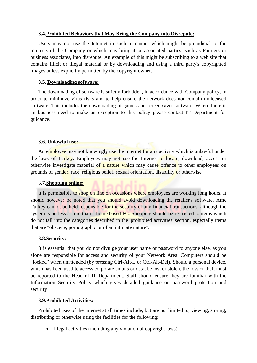#### **3.4.Prohibited Behaviors that May Bring the Company into Disrepute:**

Users may not use the Internet in such a manner which might be prejudicial to the interests of the Company or which may bring it or associated parties, such as Partners or business associates, into disrepute. An example of this might be subscribing to a web site that contains illicit or illegal material or by downloading and using a third party's copyrighted images unless explicitly permitted by the copyright owner.

#### **3.5. Downloading software:**

The downloading of software is strictly forbidden, in accordance with Company policy, in order to minimize virus risks and to help ensure the network does not contain unlicensed software. This includes the downloading of games and screen saver software. Where there is an business need to make an exception to this policy please contact IT Department for guidance.

#### 3.6. **Unlawful use:**

An employee may not knowingly use the Internet for any activity which is unlawful under the laws of Turkey. Employees may not use the Internet to locate, download, access or otherwise investigate material of a nature which may cause offence to other employees on grounds of gender, race, religious belief, sexual orientation, disability or otherwise.

#### 3.7.**Shopping online:**

It is permissible to shop on line on occasions where employees are working long hours. It should however be noted that you should avoid downloading the retailer's software. Ame Turkey cannot be held responsible for the security of any financial transactions, although the system is no less secure than a home based PC. Shopping should be restricted to items which do not fall into the categories described in the 'prohibited activities' section, especially items that are "obscene, pornographic or of an intimate nature".

#### **3.8.Security:**

It is essential that you do not divulge your user name or password to anyone else, as you alone are responsible for access and security of your Network Area. Computers should be "locked" when unattended (by pressing Ctrl-Alt-L or Ctrl-Alt-Del). Should a personal device, which has been used to access corporate emails or data, be lost or stolen, the loss or theft must be reported to the Head of IT Department. Staff should ensure they are familiar with the Information Security Policy which gives detailed guidance on password protection and security

#### **3.9.Prohibited Activities:**

Prohibited uses of the Internet at all times include, but are not limited to, viewing, storing, distributing or otherwise using the facilities for the following:

• Illegal activities (including any violation of copyright laws)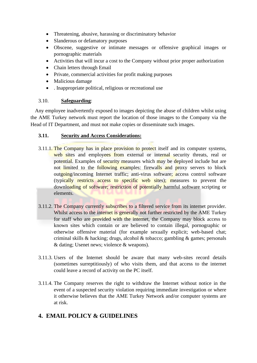- Threatening, abusive, harassing or discriminatory behavior
- Slanderous or defamatory purposes
- Obscene, suggestive or intimate messages or offensive graphical images or pornographic materials
- Activities that will incur a cost to the Company without prior proper authorization
- Chain letters through Email
- Private, commercial activities for profit making purposes
- Malicious damage
- . Inappropriate political, religious or recreational use

# 3.10. **Safeguarding**:

Any employee inadvertently exposed to images depicting the abuse of children whilst using the AME Turkey network must report the location of those images to the Company via the Head of IT Department, and must not make copies or disseminate such images.

# **3.11. Security and Access Considerations:**

- 3.11.1. The Company has in place provision to protect itself and its computer systems, web sites and employees from external or internal security threats, real or potential. Examples of security measures which may be deployed include but are not limited to the following examples: firewalls and proxy servers to block outgoing/incoming Internet traffic; anti-virus software; access control software (typically restricts access to specific web sites); measures to prevent the downloading of software; restriction of potentially harmful software scripting or elements.
- 3.11.2. The Company currently subscribes to a filtered service from its internet provider. Whilst access to the internet is generally not further restricted by the AME Turkey for staff who are provided with the internet, the Company may block access to known sites which contain or are believed to contain illegal, pornographic or otherwise offensive material (for example sexually explicit; web-based chat; criminal skills & hacking; drugs, alcohol & tobacco; gambling & games; personals & dating; Usenet news; violence & weapons).
- 3.11.3. Users of the Internet should be aware that many web-sites record details (sometimes surreptitiously) of who visits them, and that access to the internet could leave a record of activity on the PC itself.
- 3.11.4. The Company reserves the right to withdraw the Internet without notice in the event of a suspected security violation requiring immediate investigation or where it otherwise believes that the AME Turkey Network and/or computer systems are at risk.

# **4. EMAIL POLICY & GUIDELINES**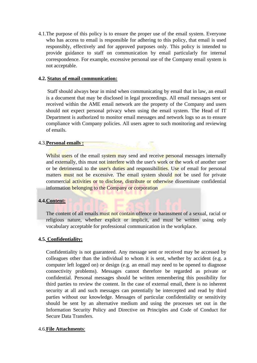4.1.The purpose of this policy is to ensure the proper use of the email system. Everyone who has access to email is responsible for adhering to this policy, that email is used responsibly, effectively and for approved purposes only. This policy is intended to provide guidance to staff on communication by email particularly for internal correspondence. For example, excessive personal use of the Company email system is not acceptable.

# **4.2. Status of email communication:**

Staff should always bear in mind when communicating by email that in law, an email is a document that may be disclosed in legal proceedings. All email messages sent or received within the AME email network are the property of the Company and users should not expect personal privacy when using the email system. The Head of IT Department is authorized to monitor email messages and network logs so as to ensure compliance with Company policies. All users agree to such monitoring and reviewing of emails.

# 4.3.**Personal emails :**

Whilst users of the email system may send and receive personal messages internally and externally, this must not interfere with the user's work or the work of another user or be detrimental to the user's duties and responsibilities. Use of email for personal matters must not be excessive. The email system should not be used for private commercial activities or to disclose, distribute or otherwise disseminate confidential information belonging to the Company or corporation

#### **4.4.Content:**

The content of all emails must not contain offence or harassment of a sexual, racial or religious nature, whether explicit or implicit, and must be written using only vocabulary acceptable for professional communication in the workplace.

#### **4.5. Confidentiality:**

Confidentiality is not guaranteed. Any message sent or received may be accessed by colleagues other than the individual to whom it is sent, whether by accident (e.g. a computer left logged on) or design (e.g. an email may need to be opened to diagnose connectivity problems). Messages cannot therefore be regarded as private or confidential. Personal messages should be written remembering this possibility for third parties to review the content. In the case of external email, there is no inherent security at all and such messages can potentially be intercepted and read by third parties without our knowledge. Messages of particular confidentiality or sensitivity should be sent by an alternative medium and using the processes set out in the Information Security Policy and Directive on Principles and Code of Conduct for Secure Data Transfers.

#### 4.6.**File Attachments**: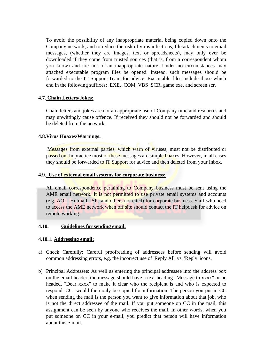To avoid the possibility of any inappropriate material being copied down onto the Company network, and to reduce the risk of virus infections, file attachments to email messages, (whether they are images, text or spreadsheets), may only ever be downloaded if they come from trusted sources (that is, from a correspondent whom you know) and are not of an inappropriate nature. Under no circumstances may attached executable program files be opened. Instead, such messages should be forwarded to the IT Support Team for advice. Executable files include those which end in the following suffixes: .EXE, .COM, VBS .SCR, game.exe, and screen.scr.

# **4.7. Chain Letters/Jokes:**

Chain letters and jokes are not an appropriate use of Company time and resources and may unwittingly cause offence. If received they should not be forwarded and should be deleted from the network.

# **4.8.Virus Hoaxes/Warnings:**

Messages from external parties, which warn of viruses, must not be distributed or passed on. In practice most of these messages are simple hoaxes. However, in all cases they should be forwarded to IT Support for advice and then deleted from your Inbox.

# **4.9. Use of external email systems for corporate business:**

All email correspondence pertaining to Company business must be sent using the AME email network. It is not permitted to use private email systems and accounts (e.g. AOL, Hotmail, ISPs and others not cited) for corporate business. Staff who need to access the AME network when off site should contact the IT helpdesk for advice on remote working.

#### **4.10. Guidelines for sending email:**

#### **4.10.1. Addressing email:**

- a) Check Carefully: Careful proofreading of addressees before sending will avoid common addressing errors, e.g. the incorrect use of 'Reply All' vs. 'Reply' icons.
- b) Principal Addressee: As well as entering the principal addressee into the address box on the email header, the message should have a text heading "Message to xxxx" or be headed, "Dear xxxx" to make it clear who the recipient is and who is expected to respond. CCs would then only be copied for information. The person you put in CC when sending the mail is the person you want to give information about that job, who is not the direct addressee of the mail. If you put someone on CC in the mail, this assignment can be seen by anyone who receives the mail. In other words, when you put someone on CC in your e-mail, you predict that person will have information about this e-mail.